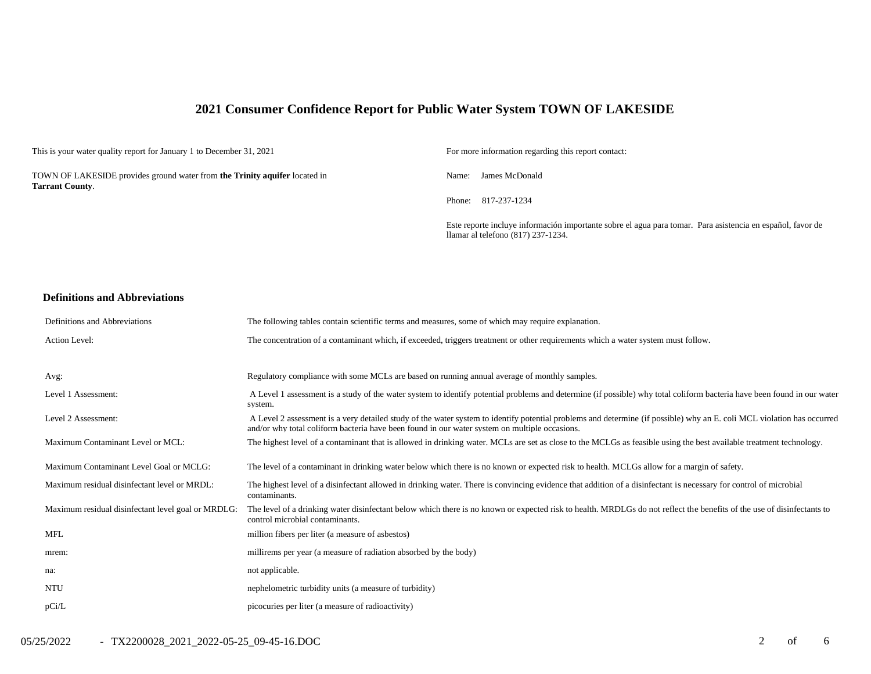## **2021 Consumer Confidence Report for Public Water System TOWN OF LAKESIDE**

| This is your water quality report for January 1 to December 31, 2021                                 | For more information regarding this report contact:                                                                                              |
|------------------------------------------------------------------------------------------------------|--------------------------------------------------------------------------------------------------------------------------------------------------|
| TOWN OF LAKESIDE provides ground water from the Trinity aquifer located in<br><b>Tarrant County.</b> | James McDonald<br>Name:                                                                                                                          |
|                                                                                                      | Phone: 817-237-1234                                                                                                                              |
|                                                                                                      | Este reporte incluye información importante sobre el agua para tomar. Para asistencia en español, favor de<br>llamar al telefono (817) 237-1234. |

#### **Definitions and Abbreviations**

| Definitions and Abbreviations                      | The following tables contain scientific terms and measures, some of which may require explanation.                                                                                                                                                                      |
|----------------------------------------------------|-------------------------------------------------------------------------------------------------------------------------------------------------------------------------------------------------------------------------------------------------------------------------|
| Action Level:                                      | The concentration of a contaminant which, if exceeded, triggers treatment or other requirements which a water system must follow.                                                                                                                                       |
|                                                    |                                                                                                                                                                                                                                                                         |
| Avg:                                               | Regulatory compliance with some MCLs are based on running annual average of monthly samples.                                                                                                                                                                            |
| Level 1 Assessment:                                | A Level 1 assessment is a study of the water system to identify potential problems and determine (if possible) why total coliform bacteria have been found in our water<br>system.                                                                                      |
| Level 2 Assessment:                                | A Level 2 assessment is a very detailed study of the water system to identify potential problems and determine (if possible) why an E. coli MCL violation has occurred<br>and/or why total coliform bacteria have been found in our water system on multiple occasions. |
| Maximum Contaminant Level or MCL:                  | The highest level of a contaminant that is allowed in drinking water. MCLs are set as close to the MCLGs as feasible using the best available treatment technology.                                                                                                     |
| Maximum Contaminant Level Goal or MCLG:            | The level of a contaminant in drinking water below which there is no known or expected risk to health. MCLGs allow for a margin of safety.                                                                                                                              |
| Maximum residual disinfectant level or MRDL:       | The highest level of a disinfectant allowed in drinking water. There is convincing evidence that addition of a disinfectant is necessary for control of microbial<br>contaminants.                                                                                      |
| Maximum residual disinfectant level goal or MRDLG: | The level of a drinking water disinfectant below which there is no known or expected risk to health. MRDLGs do not reflect the benefits of the use of disinfectants to<br>control microbial contaminants.                                                               |
| MFL                                                | million fibers per liter (a measure of asbestos)                                                                                                                                                                                                                        |
| mrem:                                              | millirems per year (a measure of radiation absorbed by the body)                                                                                                                                                                                                        |
| na:                                                | not applicable.                                                                                                                                                                                                                                                         |
| <b>NTU</b>                                         | nephelometric turbidity units (a measure of turbidity)                                                                                                                                                                                                                  |
| pCi/L                                              | picocuries per liter (a measure of radioactivity)                                                                                                                                                                                                                       |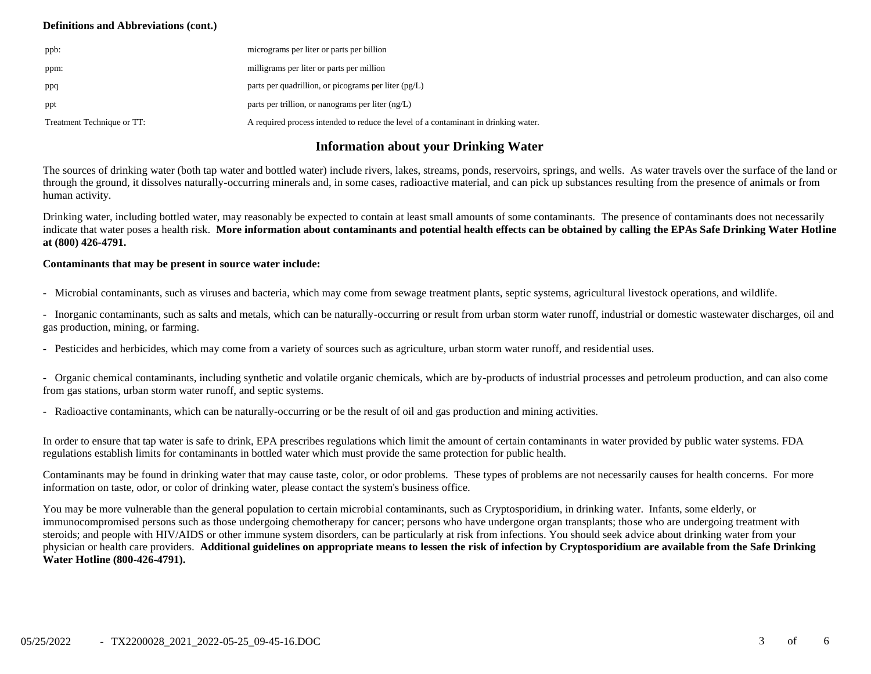#### **Definitions and Abbreviations (cont.)**

| ppb:                       | micrograms per liter or parts per billion                                           |
|----------------------------|-------------------------------------------------------------------------------------|
| ppm:                       | milligrams per liter or parts per million                                           |
| ppq                        | parts per quadrillion, or picograms per liter $(pg/L)$                              |
| ppt                        | parts per trillion, or nanograms per liter $(ng/L)$                                 |
| Treatment Technique or TT: | A required process intended to reduce the level of a contaminant in drinking water. |

### **Information about your Drinking Water**

The sources of drinking water (both tap water and bottled water) include rivers, lakes, streams, ponds, reservoirs, springs, and wells. As water travels over the surface of the land or through the ground, it dissolves naturally-occurring minerals and, in some cases, radioactive material, and can pick up substances resulting from the presence of animals or from human activity.

Drinking water, including bottled water, may reasonably be expected to contain at least small amounts of some contaminants. The presence of contaminants does not necessarily indicate that water poses a health risk. **More information about contaminants and potential health effects can be obtained by calling the EPAs Safe Drinking Water Hotline at (800) 426-4791.**

#### **Contaminants that may be present in source water include:**

- Microbial contaminants, such as viruses and bacteria, which may come from sewage treatment plants, septic systems, agricultural livestock operations, and wildlife.

- Inorganic contaminants, such as salts and metals, which can be naturally-occurring or result from urban storm water runoff, industrial or domestic wastewater discharges, oil and gas production, mining, or farming.

- Pesticides and herbicides, which may come from a variety of sources such as agriculture, urban storm water runoff, and residential uses.

- Organic chemical contaminants, including synthetic and volatile organic chemicals, which are by-products of industrial processes and petroleum production, and can also come from gas stations, urban storm water runoff, and septic systems.

- Radioactive contaminants, which can be naturally-occurring or be the result of oil and gas production and mining activities.

In order to ensure that tap water is safe to drink, EPA prescribes regulations which limit the amount of certain contaminants in water provided by public water systems. FDA regulations establish limits for contaminants in bottled water which must provide the same protection for public health.

Contaminants may be found in drinking water that may cause taste, color, or odor problems. These types of problems are not necessarily causes for health concerns. For more information on taste, odor, or color of drinking water, please contact the system's business office.

You may be more vulnerable than the general population to certain microbial contaminants, such as Cryptosporidium, in drinking water. Infants, some elderly, or immunocompromised persons such as those undergoing chemotherapy for cancer; persons who have undergone organ transplants; those who are undergoing treatment with steroids; and people with HIV/AIDS or other immune system disorders, can be particularly at risk from infections. You should seek advice about drinking water from your physician or health care providers. **Additional guidelines on appropriate means to lessen the risk of infection by Cryptosporidium are available from the Safe Drinking Water Hotline (800-426-4791).**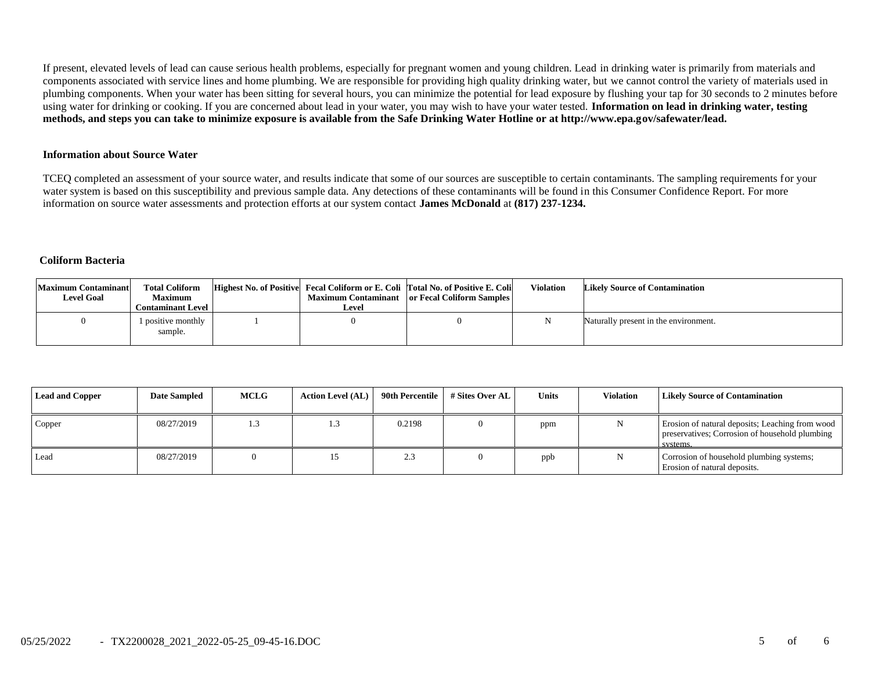If present, elevated levels of lead can cause serious health problems, especially for pregnant women and young children. Lead in drinking water is primarily from materials and components associated with service lines and home plumbing. We are responsible for providing high quality drinking water, but we cannot control the variety of materials used in plumbing components. When your water has been sitting for several hours, you can minimize the potential for lead exposure by flushing your tap for 30 seconds to 2 minutes before using water for drinking or cooking. If you are concerned about lead in your water, you may wish to have your water tested. **Information on lead in drinking water, testing methods, and steps you can take to minimize exposure is available from the Safe Drinking Water Hotline or at http://www.epa.gov/safewater/lead.**

#### **Information about Source Water**

TCEQ completed an assessment of your source water, and results indicate that some of our sources are susceptible to certain contaminants. The sampling requirements for your water system is based on this susceptibility and previous sample data. Any detections of these contaminants will be found in this Consumer Confidence Report. For more information on source water assessments and protection efforts at our system contact **James McDonald** at **(817) 237-1234.**

#### **Coliform Bacteria**

| <b>Maximum Contaminant</b><br><b>Level Goal</b> | <b>Total Coliform</b><br><b>Maximum</b><br><b>Contaminant Level</b> 1 | Level | Highest No. of Positive Fecal Coliform or E. Coli Total No. of Positive E. Coli<br>Maximum Contaminant or Fecal Coliform Samples | Violation | <b>Likely Source of Contamination</b> |
|-------------------------------------------------|-----------------------------------------------------------------------|-------|----------------------------------------------------------------------------------------------------------------------------------|-----------|---------------------------------------|
|                                                 | 1 positive monthly<br>sample.                                         |       |                                                                                                                                  |           | Naturally present in the environment. |

| <b>Lead and Copper</b> | <b>Date Sampled</b> | <b>MCLG</b> | <b>Action Level (AL)</b> | 90th Percentile          | # Sites Over AL | <b>Units</b> | <b>Violation</b> | <b>Likely Source of Contamination</b>                                                                         |
|------------------------|---------------------|-------------|--------------------------|--------------------------|-----------------|--------------|------------------|---------------------------------------------------------------------------------------------------------------|
| Copper                 | 08/27/2019          | 1.3         | 1.3                      | 0.2198                   |                 | ppm          |                  | Erosion of natural deposits; Leaching from wood<br>preservatives; Corrosion of household plumbing<br>systems. |
| Lead                   | 08/27/2019          |             | 15                       | $\sim$ $\sim$<br>ل ـ ـ ـ |                 | ppb          |                  | Corrosion of household plumbing systems;<br>Erosion of natural deposits.                                      |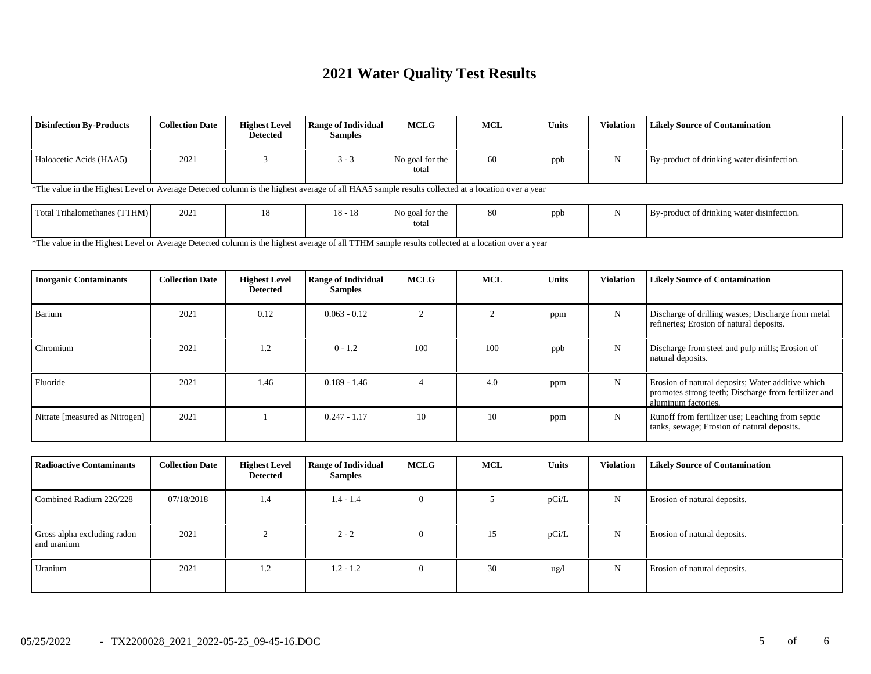# **2021 Water Quality Test Results**

| <b>Disinfection By-Products</b>                                                                                                                  | <b>Collection Date</b> | <b>Highest Level</b><br>Detected | <b>Range of Individual</b><br><b>Samples</b> | MCLG                     | <b>MCL</b> | <b>Units</b> | <b>Violation</b> | <b>Likely Source of Contamination</b>      |  |
|--------------------------------------------------------------------------------------------------------------------------------------------------|------------------------|----------------------------------|----------------------------------------------|--------------------------|------------|--------------|------------------|--------------------------------------------|--|
| Haloacetic Acids (HAA5)                                                                                                                          | 2021                   |                                  | $3 - 3$                                      | No goal for the<br>total | 60         | ppb          | N                | By-product of drinking water disinfection. |  |
| *The value in the Highest Level or Average Detected column is the highest average of all HAA5 sample results collected at a location over a year |                        |                                  |                                              |                          |            |              |                  |                                            |  |
| Total Trihalomethanes (TTHM)                                                                                                                     | 2021                   | 18                               | $18 - 18$                                    | No goal for the<br>total | 80         | ppb          | N                | By-product of drinking water disinfection. |  |

\*The value in the Highest Level or Average Detected column is the highest average of all TTHM sample results collected at a location over a year

| <b>Inorganic Contaminants</b>  | <b>Collection Date</b> | <b>Highest Level</b><br><b>Detected</b> | <b>Range of Individual</b><br><b>Samples</b> | <b>MCLG</b> | <b>MCL</b> | <b>Units</b> | <b>Violation</b> | <b>Likely Source of Contamination</b>                                                                                            |
|--------------------------------|------------------------|-----------------------------------------|----------------------------------------------|-------------|------------|--------------|------------------|----------------------------------------------------------------------------------------------------------------------------------|
| Barium                         | 2021                   | 0.12                                    | $0.063 - 0.12$                               |             |            | ppm          | N                | Discharge of drilling wastes; Discharge from metal<br>refineries; Erosion of natural deposits.                                   |
| Chromium                       | 2021                   | 1.2                                     | $0 - 1.2$                                    | 100         | 100        | ppb          | N                | Discharge from steel and pulp mills; Erosion of<br>natural deposits.                                                             |
| Fluoride                       | 2021                   | 1.46                                    | $0.189 - 1.46$                               |             | 4.0        | ppm          | N                | Erosion of natural deposits; Water additive which<br>promotes strong teeth; Discharge from fertilizer and<br>aluminum factories. |
| Nitrate [measured as Nitrogen] | 2021                   |                                         | $0.247 - 1.17$                               | 10          | 10         | ppm          | N                | Runoff from fertilizer use; Leaching from septic<br>tanks, sewage; Erosion of natural deposits.                                  |

| <b>Radioactive Contaminants</b>            | <b>Collection Date</b> | <b>Highest Level</b><br>Detected | <b>Range of Individual</b><br><b>Samples</b> | <b>MCLG</b> | <b>MCL</b> | <b>Units</b>    | <b>Violation</b> | <b>Likely Source of Contamination</b> |
|--------------------------------------------|------------------------|----------------------------------|----------------------------------------------|-------------|------------|-----------------|------------------|---------------------------------------|
| Combined Radium 226/228                    | 07/18/2018             | 1.4                              | $1.4 - 1.4$                                  | $\Omega$    |            | pCi/L           | N                | Erosion of natural deposits.          |
| Gross alpha excluding radon<br>and uranium | 2021                   |                                  | $2 - 2$                                      | $\theta$    | 15         | pCi/L           | N                | Erosion of natural deposits.          |
| Uranium                                    | 2021                   | 1.2                              | $1.2 - 1.2$                                  | $\Omega$    | 30         | $\frac{u g}{l}$ | N                | Erosion of natural deposits.          |